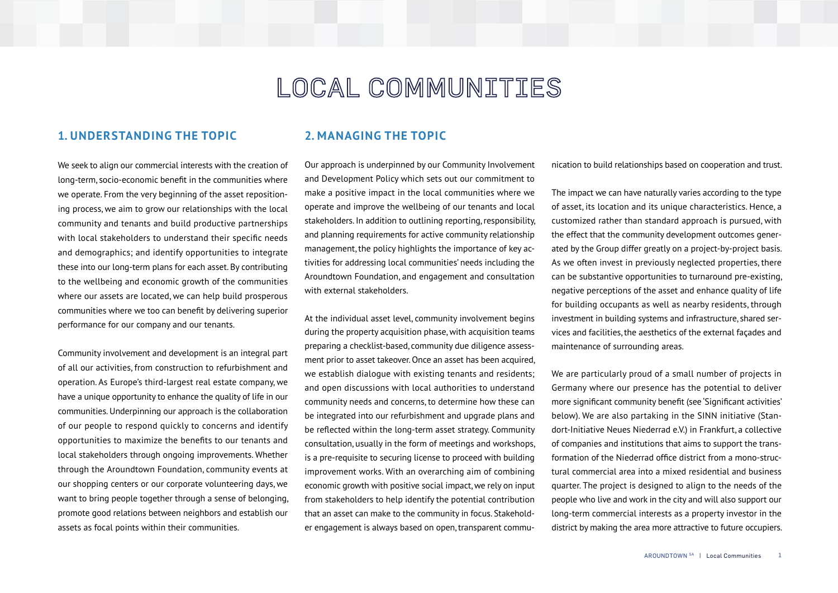# LOCAL COMMUNITIES

# **1. UNDERSTANDING THE TOPIC**

We seek to align our commercial interests with the creation of long-term, socio-economic benefit in the communities where we operate. From the very beginning of the asset repositioning process, we aim to grow our relationships with the local community and tenants and build productive partnerships with local stakeholders to understand their specific needs and demographics; and identify opportunities to integrate these into our long-term plans for each asset. By contributing to the wellbeing and economic growth of the communities where our assets are located, we can help build prosperous communities where we too can benefit by delivering superior performance for our company and our tenants.

Community involvement and development is an integral part of all our activities, from construction to refurbishment and operation. As Europe's third-largest real estate company, we have a unique opportunity to enhance the quality of life in our communities. Underpinning our approach is the collaboration of our people to respond quickly to concerns and identify opportunities to maximize the benefits to our tenants and local stakeholders through ongoing improvements. Whether through the Aroundtown Foundation, community events at our shopping centers or our corporate volunteering days, we want to bring people together through a sense of belonging, promote good relations between neighbors and establish our assets as focal points within their communities.

### **2. MANAGING THE TOPIC**

Our approach is underpinned by our Community Involvement and Development Policy which sets out our commitment to make a positive impact in the local communities where we operate and improve the wellbeing of our tenants and local stakeholders. In addition to outlining reporting, responsibility, and planning requirements for active community relationship management, the policy highlights the importance of key activities for addressing local communities' needs including the Aroundtown Foundation, and engagement and consultation with external stakeholders.

At the individual asset level, community involvement begins during the property acquisition phase, with acquisition teams preparing a checklist-based, community due diligence assessment prior to asset takeover. Once an asset has been acquired, we establish dialogue with existing tenants and residents; and open discussions with local authorities to understand community needs and concerns, to determine how these can be integrated into our refurbishment and upgrade plans and be reflected within the long-term asset strategy. Community consultation, usually in the form of meetings and workshops, is a pre-requisite to securing license to proceed with building improvement works. With an overarching aim of combining economic growth with positive social impact, we rely on input from stakeholders to help identify the potential contribution that an asset can make to the community in focus. Stakeholder engagement is always based on open, transparent communication to build relationships based on cooperation and trust.

The impact we can have naturally varies according to the type of asset, its location and its unique characteristics. Hence, a customized rather than standard approach is pursued, with the effect that the community development outcomes generated by the Group differ greatly on a project-by-project basis. As we often invest in previously neglected properties, there can be substantive opportunities to turnaround pre-existing, negative perceptions of the asset and enhance quality of life for building occupants as well as nearby residents, through investment in building systems and infrastructure, shared services and facilities, the aesthetics of the external façades and maintenance of surrounding areas.

We are particularly proud of a small number of projects in Germany where our presence has the potential to deliver more significant community benefit (see 'Significant activities' below). We are also partaking in the SINN initiative (Standort-Initiative Neues Niederrad e.V.) in Frankfurt, a collective of companies and institutions that aims to support the transformation of the Niederrad office district from a mono-structural commercial area into a mixed residential and business quarter. The project is designed to align to the needs of the people who live and work in the city and will also support our long-term commercial interests as a property investor in the district by making the area more attractive to future occupiers.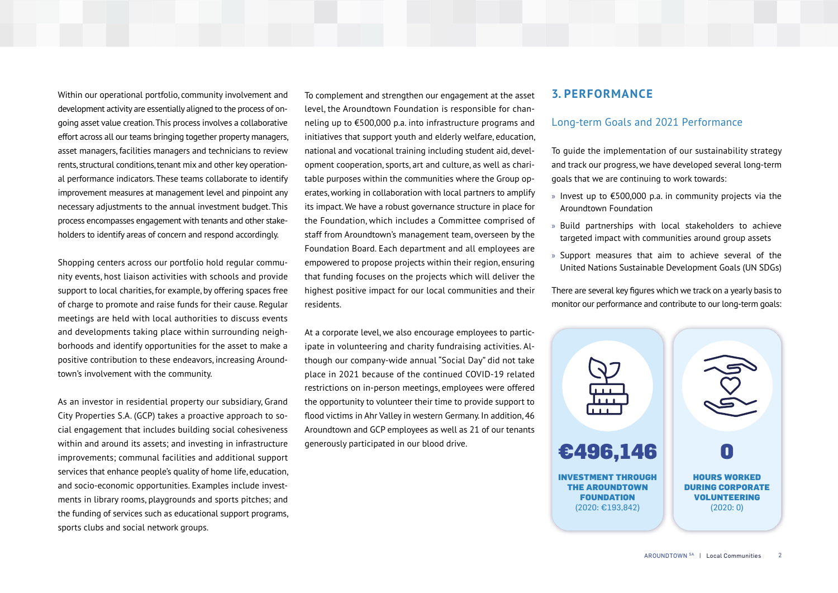Within our operational portfolio, community involvement and development activity are essentially aligned to the process of ongoing asset value creation. This process involves a collaborative effort across all our teams bringing together property managers, asset managers, facilities managers and technicians to review rents, structural conditions, tenant mix and other key operational performance indicators. These teams collaborate to identify improvement measures at management level and pinpoint any necessary adjustments to the annual investment budget. This process encompasses engagement with tenants and other stakeholders to identify areas of concern and respond accordingly.

Shopping centers across our portfolio hold regular community events, host liaison activities with schools and provide support to local charities, for example, by offering spaces free of charge to promote and raise funds for their cause. Regular meetings are held with local authorities to discuss events and developments taking place within surrounding neighborhoods and identify opportunities for the asset to make a positive contribution to these endeavors, increasing Aroundtown's involvement with the community.

As an investor in residential property our subsidiary, Grand City Properties S.A. (GCP) takes a proactive approach to social engagement that includes building social cohesiveness within and around its assets; and investing in infrastructure improvements; communal facilities and additional support services that enhance people's quality of home life, education, and socio-economic opportunities. Examples include investments in library rooms, playgrounds and sports pitches; and the funding of services such as educational support programs, sports clubs and social network groups.

To complement and strengthen our engagement at the asset level, the Aroundtown Foundation is responsible for channeling up to €500,000 p.a. into infrastructure programs and initiatives that support youth and elderly welfare, education, national and vocational training including student aid, development cooperation, sports, art and culture, as well as charitable purposes within the communities where the Group operates, working in collaboration with local partners to amplify its impact. We have a robust governance structure in place for the Foundation, which includes a Committee comprised of staff from Aroundtown's management team, overseen by the Foundation Board. Each department and all employees are empowered to propose projects within their region, ensuring that funding focuses on the projects which will deliver the highest positive impact for our local communities and their residents.

At a corporate level, we also encourage employees to participate in volunteering and charity fundraising activities. Although our company-wide annual "Social Day" did not take place in 2021 because of the continued COVID-19 related restrictions on in-person meetings, employees were offered the opportunity to volunteer their time to provide support to flood victims in Ahr Valley in western Germany. In addition, 46 Aroundtown and GCP employees as well as 21 of our tenants generously participated in our blood drive.

#### **3. PERFORMANCE**

#### Long-term Goals and 2021 Performance

To guide the implementation of our sustainability strategy and track our progress, we have developed several long-term goals that we are continuing to work towards:

- » Invest up to €500,000 p.a. in community projects via the Aroundtown Foundation
- » Build partnerships with local stakeholders to achieve targeted impact with communities around group assets
- » Support measures that aim to achieve several of the United Nations Sustainable Development Goals (UN SDGs)

There are several key figures which we track on a yearly basis to monitor our performance and contribute to our long-term goals:

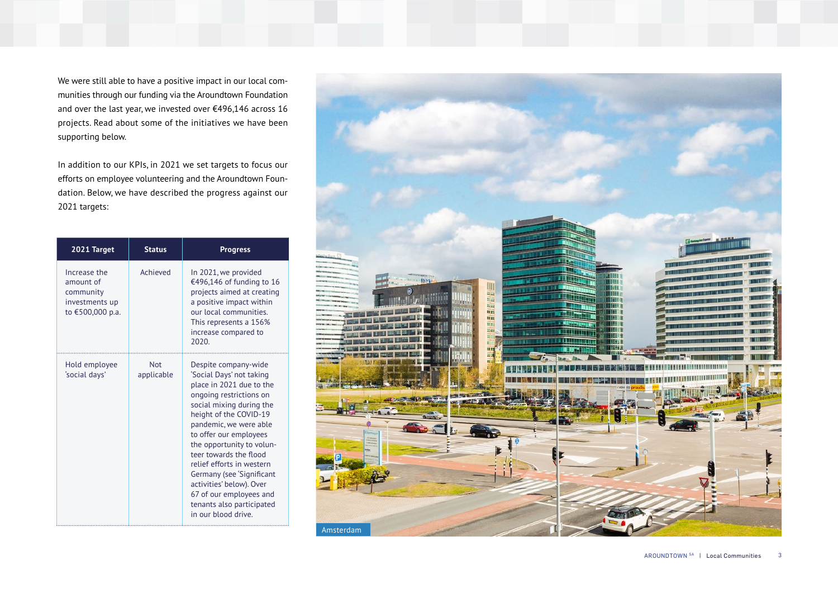We were still able to have a positive impact in our local com munities through our funding via the Aroundtown Foundation and over the last year, we invested over €496,146 across 16 projects. Read about some of the initiatives we have been supporting below.

In addition to our KPIs, in 2021 we set targets to focus our efforts on employee volunteering and the Aroundtown Foun dation. Below, we have described the progress against our 2021 targets:

| 2021 Target                                                                  | <b>Status</b>            | <b>Progress</b>                                                                                                                                                                                                                                                                                                                                                                                                                               |  |  |
|------------------------------------------------------------------------------|--------------------------|-----------------------------------------------------------------------------------------------------------------------------------------------------------------------------------------------------------------------------------------------------------------------------------------------------------------------------------------------------------------------------------------------------------------------------------------------|--|--|
| Increase the<br>amount of<br>community<br>investments up<br>to €500,000 p.a. | Achieved                 | In 2021, we provided<br>€496,146 of funding to 16<br>projects aimed at creating<br>a positive impact within<br>our local communities.<br>This represents a 156%<br>increase compared to<br>2020.                                                                                                                                                                                                                                              |  |  |
| Hold employee<br>'social days'                                               | <b>Not</b><br>applicable | Despite company-wide<br>'Social Days' not taking<br>place in 2021 due to the<br>ongoing restrictions on<br>social mixing during the<br>height of the COVID-19<br>pandemic, we were able<br>to offer our employees<br>the opportunity to volun-<br>teer towards the flood<br>relief efforts in western<br>Germany (see 'Significant<br>activities' below). Over<br>67 of our employees and<br>tenants also participated<br>in our blood drive. |  |  |